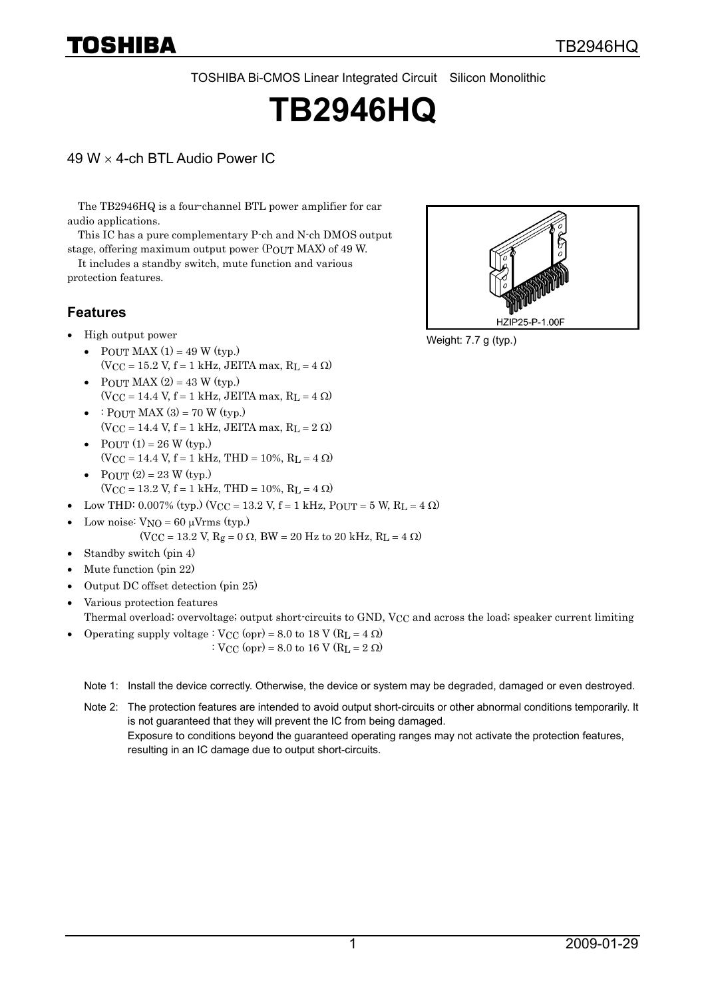TOSHIBA Bi-CMOS Linear Integrated Circuit Silicon Monolithic

# **TB2946HQ**

#### 49 W × 4-ch BTL Audio Power IC

The TB2946HQ is a four-channel BTL power amplifier for car audio applications.

This IC has a pure complementary P-ch and N-ch DMOS output stage, offering maximum output power (POUT MAX) of 49 W.

It includes a standby switch, mute function and various protection features.

#### **Features**

- High output power
	- POUT MAX  $(1) = 49$  W (typ.)  $(V_{\text{CC}} = 15.2 \text{ V}, \text{f} = 1 \text{ kHz}, \text{ JEITA max}, \text{R}_\text{L} = 4 \Omega$
	- POUT MAX  $(2) = 43$  W (typ.)  $(V_{CC} = 14.4 V, f = 1 kHz, JEITA max, R<sub>L</sub> = 4 \Omega)$
	- : POUT MAX  $(3) = 70$  W (typ.)  $(V_{CC} = 14.4 V, f = 1 kHz, JEITA max, R<sub>L</sub> = 2 \Omega)$
	- POUT  $(1) = 26$  W (typ.)  $(V_{CC} = 14.4 V, f = 1 kHz, THD = 10\%, R<sub>L</sub> = 4 \Omega)$
	- POUT  $(2) = 23$  W (typ.)  $(V_{\text{CC}} = 13.2 \text{ V}, \text{f} = 1 \text{ kHz}, \text{THD} = 10\%, \text{ R}_\text{L} = 4 \Omega$
- Low THD: 0.007% (typ.) (V<sub>CC</sub> = 13.2 V, f = 1 kHz, P<sub>OUT</sub> = 5 W, R<sub>L</sub> = 4 Ω)
- Low noise:  $V_{NO} = 60 \mu V$ rms (typ.)  $(V_{CC} = 13.2 V, R_g = 0 Ω, BW = 20 Hz to 20 kHz, R_L = 4 Ω)$
- Standby switch (pin 4)
- Mute function (pin 22)
- Output DC offset detection (pin 25)
- Various protection features

Thermal overload; overvoltage; output short-circuits to GND, VCC and across the load; speaker current limiting

• Operating supply voltage :  $V_{CC}$  (opr) = 8.0 to 18 V (R<sub>L</sub> = 4  $\Omega$ ) :  $V_{CC}$  (opr) = 8.0 to 16 V (R<sub>L</sub> = 2  $\Omega$ )

Note 1: Install the device correctly. Otherwise, the device or system may be degraded, damaged or even destroyed.

Note 2: The protection features are intended to avoid output short-circuits or other abnormal conditions temporarily. It is not guaranteed that they will prevent the IC from being damaged. Exposure to conditions beyond the guaranteed operating ranges may not activate the protection features, resulting in an IC damage due to output short-circuits.



Weight: 7.7 g (typ.)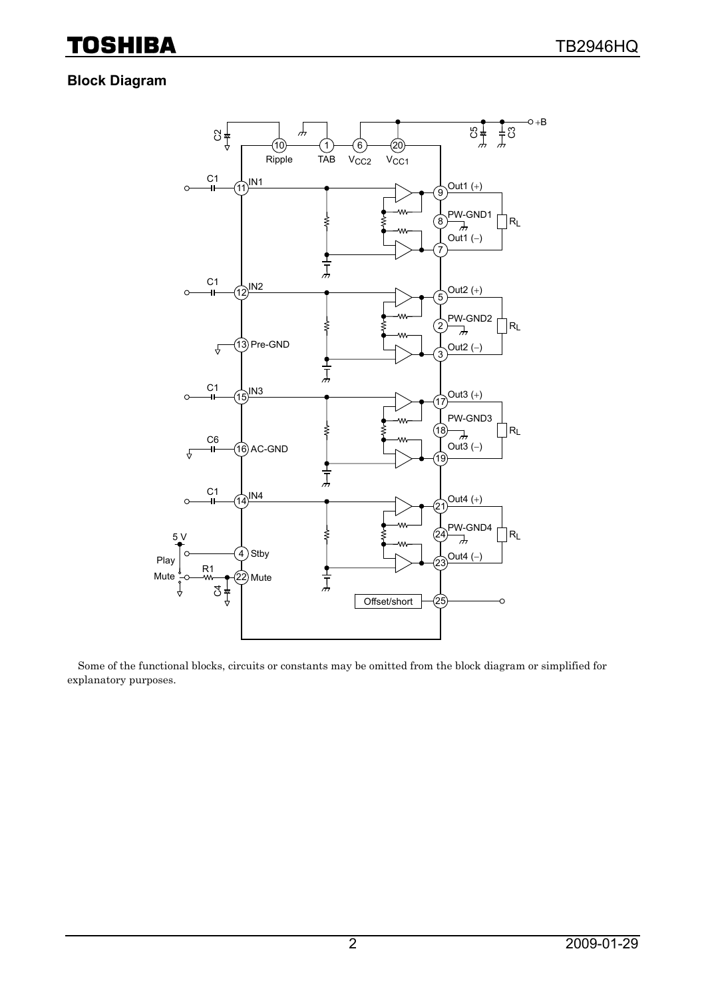### **Block Diagram**



Some of the functional blocks, circuits or constants may be omitted from the block diagram or simplified for explanatory purposes.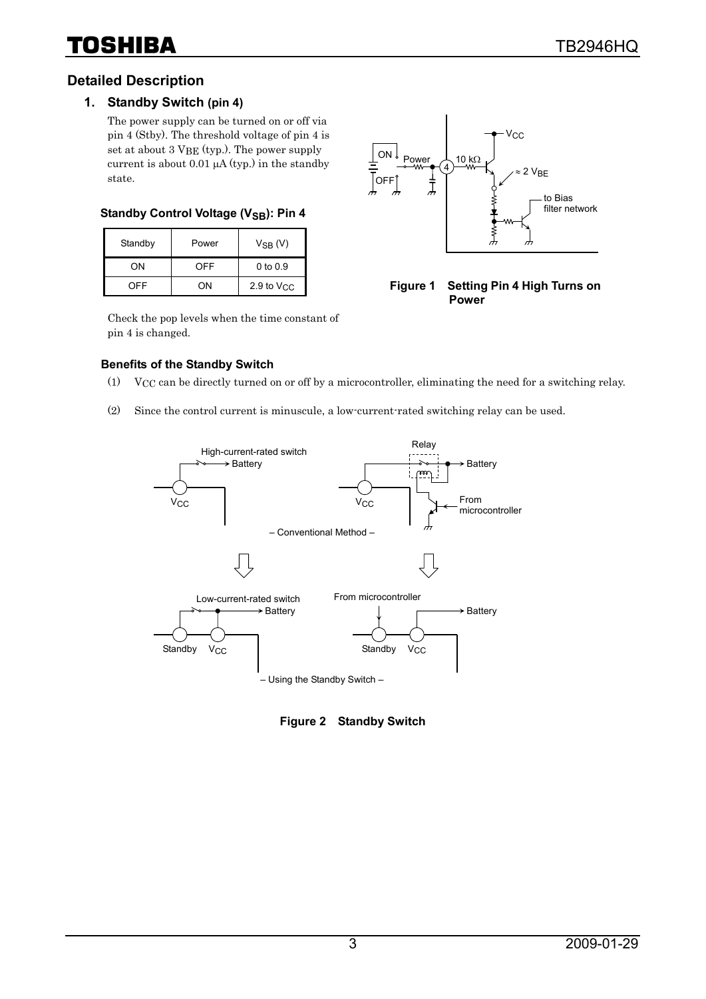#### **Detailed Description**

#### **1. Standby Switch (pin 4)**

The power supply can be turned on or off via pin 4 (Stby). The threshold voltage of pin 4 is set at about 3 VBE (typ.). The power supply current is about 0.01  $\mu$ A (typ.) in the standby state.

#### **Standby Control Voltage (V<sub>SB</sub>): Pin 4**

| Standby | Power | $V_{SB} (V)$        |
|---------|-------|---------------------|
| OΝ      | OFF   | $0$ to $0.9$        |
| OFF     | ΩN    | 2.9 to $V_{\rm CC}$ |



**Figure 1 Setting Pin 4 High Turns on Power** 

Check the pop levels when the time constant of pin 4 is changed.

#### **Benefits of the Standby Switch**

- (1) VCC can be directly turned on or off by a microcontroller, eliminating the need for a switching relay.
- (2) Since the control current is minuscule, a low-current-rated switching relay can be used.



**Figure 2 Standby Switch**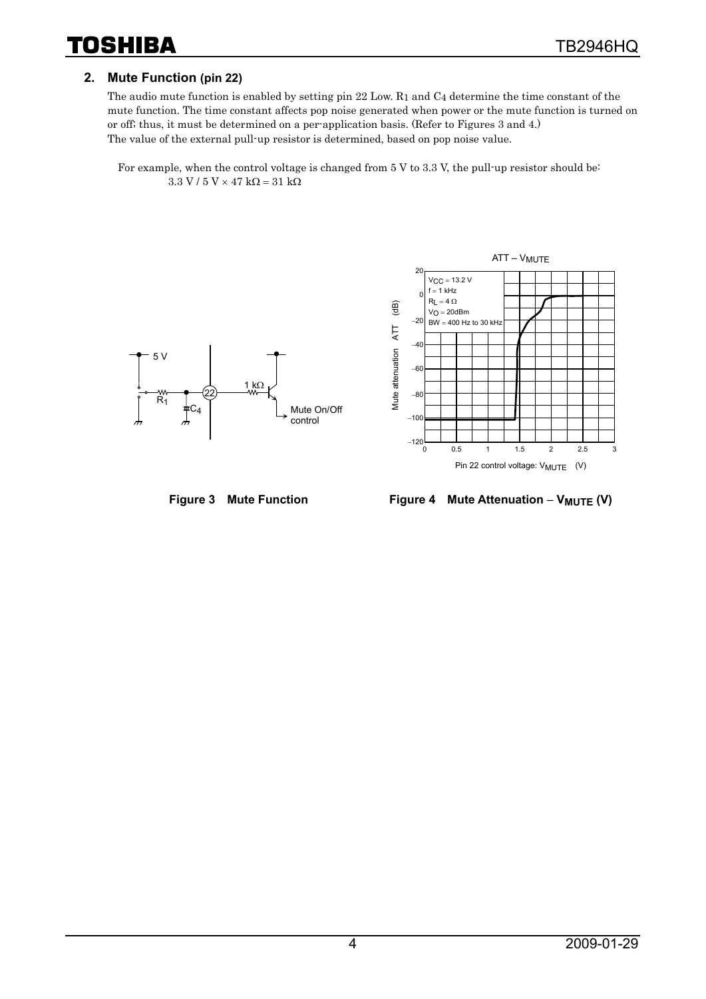#### **2. Mute Function (pin 22)**

The audio mute function is enabled by setting pin 22 Low. R1 and C4 determine the time constant of the mute function. The time constant affects pop noise generated when power or the mute function is turned on or off; thus, it must be determined on a per-application basis. (Refer to Figures 3 and 4.) The value of the external pull-up resistor is determined, based on pop noise value.

 For example, when the control voltage is changed from 5 V to 3.3 V, the pull-up resistor should be:  $3.3$  V /  $5$  V  $\times$  47 kΩ = 31 kΩ





 $ATT - V_{MUTE}$ 

Figure 3 Mute Function Figure 4 Mute Attenuation – V<sub>MUTE</sub> (V)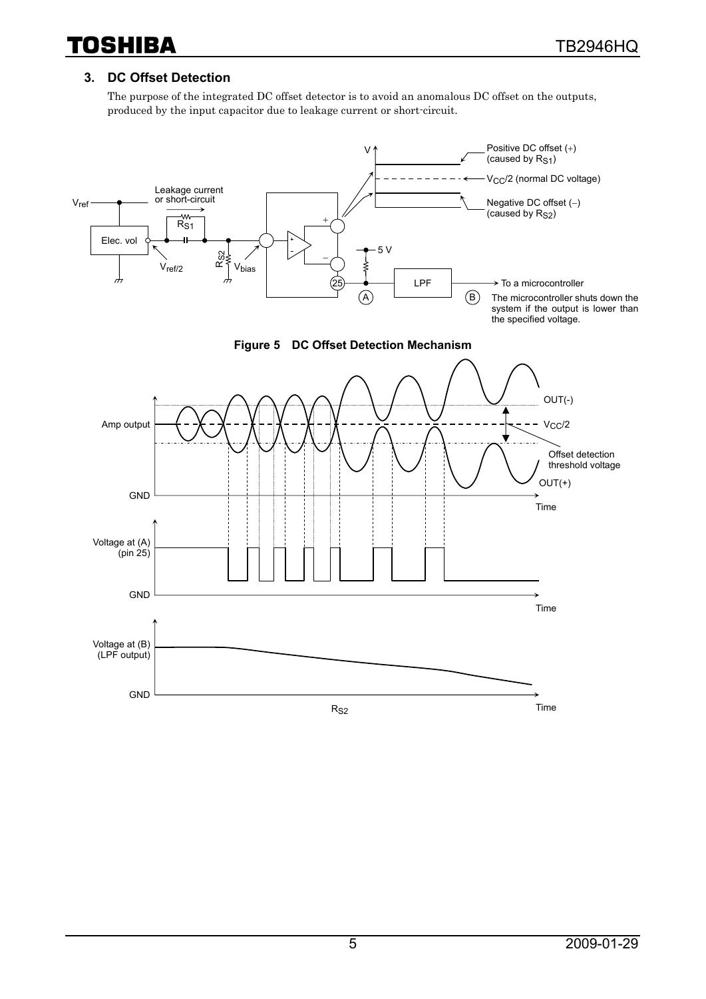#### **3. DC Offset Detection**

The purpose of the integrated DC offset detector is to avoid an anomalous DC offset on the outputs, produced by the input capacitor due to leakage current or short-circuit.





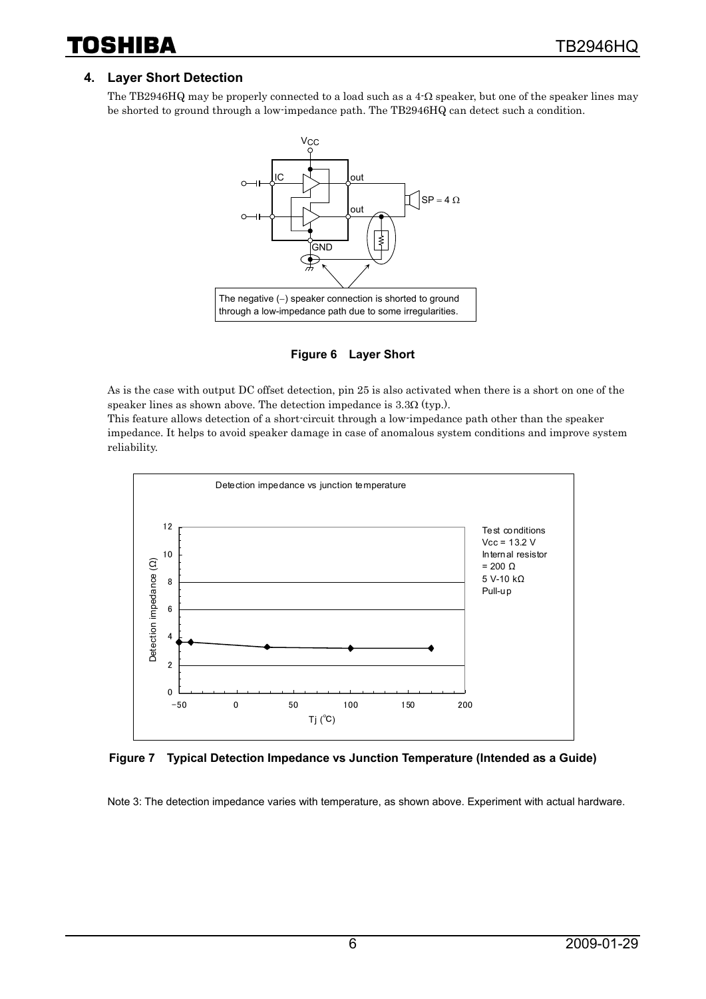reliability.

#### **4. Layer Short Detection**

The TB2946HQ may be properly connected to a load such as a  $4-\Omega$  speaker, but one of the speaker lines may be shorted to ground through a low-impedance path. The TB2946HQ can detect such a condition.



**Figure 6 Layer Short** 

As is the case with output DC offset detection, pin 25 is also activated when there is a short on one of the speaker lines as shown above. The detection impedance is 3.3Ω (typ.). This feature allows detection of a short-circuit through a low-impedance path other than the speaker impedance. It helps to avoid speaker damage in case of anomalous system conditions and improve system



**Figure 7 Typical Detection Impedance vs Junction Temperature (Intended as a Guide)** 

Note 3: The detection impedance varies with temperature, as shown above. Experiment with actual hardware.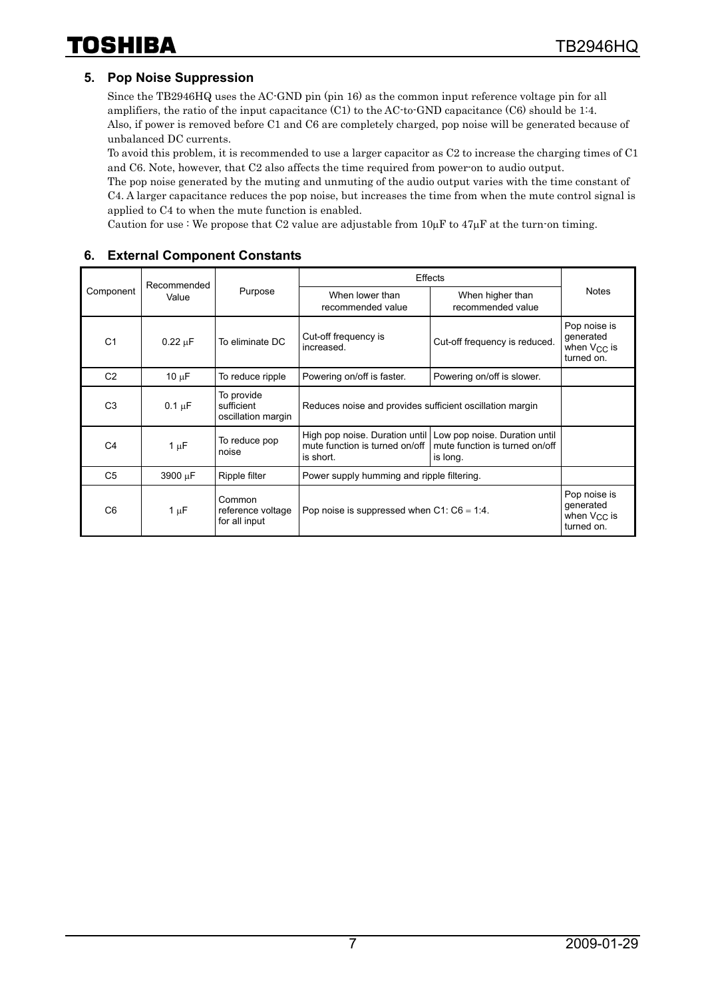#### **5. Pop Noise Suppression**

Since the TB2946HQ uses the AC-GND pin (pin 16) as the common input reference voltage pin for all amplifiers, the ratio of the input capacitance (C1) to the AC-to-GND capacitance (C6) should be 1:4. Also, if power is removed before C1 and C6 are completely charged, pop noise will be generated because of unbalanced DC currents.

To avoid this problem, it is recommended to use a larger capacitor as C2 to increase the charging times of C1 and C6. Note, however, that C2 also affects the time required from power-on to audio output.

The pop noise generated by the muting and unmuting of the audio output varies with the time constant of C4. A larger capacitance reduces the pop noise, but increases the time from when the mute control signal is applied to C4 to when the mute function is enabled.

Caution for use : We propose that C2 value are adjustable from  $10\mu$ F to  $47\mu$ F at the turn-on timing.

|                    | Recommended  |                                                | Effects                                                                       | <b>Notes</b>                                                                |                                                             |
|--------------------|--------------|------------------------------------------------|-------------------------------------------------------------------------------|-----------------------------------------------------------------------------|-------------------------------------------------------------|
| Component<br>Value |              | Purpose                                        | When lower than<br>recommended value                                          |                                                                             |                                                             |
| C <sub>1</sub>     | $0.22 \mu F$ | To eliminate DC                                | Cut-off frequency is<br>increased.                                            | Cut-off frequency is reduced.                                               | Pop noise is<br>generated<br>when $V_{CC}$ is<br>turned on. |
| C <sub>2</sub>     | $10 \mu F$   | To reduce ripple                               | Powering on/off is faster.                                                    | Powering on/off is slower.                                                  |                                                             |
| C <sub>3</sub>     | $0.1 \mu F$  | To provide<br>sufficient<br>oscillation margin | Reduces noise and provides sufficient oscillation margin                      |                                                                             |                                                             |
| C <sub>4</sub>     | $1 \mu F$    | To reduce pop<br>noise                         | High pop noise. Duration until<br>mute function is turned on/off<br>is short. | Low pop noise. Duration until<br>mute function is turned on/off<br>is long. |                                                             |
| C <sub>5</sub>     | 3900 µF      | Ripple filter                                  | Power supply humming and ripple filtering.                                    |                                                                             |                                                             |
| C <sub>6</sub>     | $1 \mu F$    | Common<br>reference voltage<br>for all input   | Pop noise is suppressed when $C1$ : $C6 = 1:4$ .                              |                                                                             | Pop noise is<br>generated<br>when $V_{CC}$ is<br>turned on. |

#### **6. External Component Constants**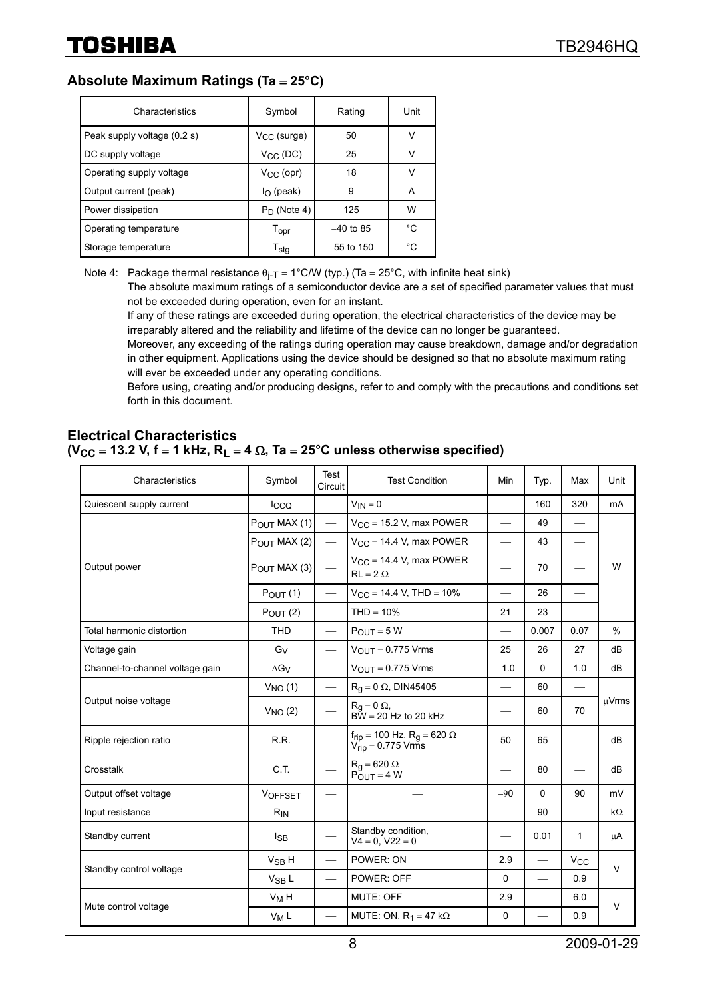### **Absolute Maximum Ratings (Ta** = **25°C)**

| Characteristics             | Symbol                      | Rating       | Unit |
|-----------------------------|-----------------------------|--------------|------|
| Peak supply voltage (0.2 s) | $V_{CC}$ (surge)            | 50           | v    |
| DC supply voltage           | $V_{CC}$ (DC)               | 25           | v    |
| Operating supply voltage    | $V_{CC}$ (opr)              | 18           | v    |
| Output current (peak)       | $I_{\Omega}$ (peak)         | 9            | A    |
| Power dissipation           | $P_D$ (Note 4)              | 125          | W    |
| Operating temperature       | $\mathsf{T}_{\mathsf{opr}}$ | $-40$ to 85  | °C   |
| Storage temperature         | $\mathsf{T}_{\mathsf{stq}}$ | $-55$ to 150 | °C   |

Note 4: Package thermal resistance  $\theta_{i-T} = 1^{\circ}$ C/W (typ.) (Ta = 25°C, with infinite heat sink)

The absolute maximum ratings of a semiconductor device are a set of specified parameter values that must not be exceeded during operation, even for an instant.

If any of these ratings are exceeded during operation, the electrical characteristics of the device may be irreparably altered and the reliability and lifetime of the device can no longer be guaranteed.

Moreover, any exceeding of the ratings during operation may cause breakdown, damage and/or degradation in other equipment. Applications using the device should be designed so that no absolute maximum rating will ever be exceeded under any operating conditions.

Before using, creating and/or producing designs, refer to and comply with the precautions and conditions set forth in this document.

#### **Electrical Characteristics (VCC** = **13.2 V, f** = **1 kHz, RL** = **4** Ω**, Ta** = **25°C unless otherwise specified)**

| Characteristics                 | Symbol                   | Test<br>Circuit          | <b>Test Condition</b>                                                         | Min                      | Typ.                     | Max                      | Unit   |  |
|---------------------------------|--------------------------|--------------------------|-------------------------------------------------------------------------------|--------------------------|--------------------------|--------------------------|--------|--|
| Quiescent supply current        | Icco                     |                          | $V_{IN} = 0$                                                                  | $\overline{\phantom{0}}$ | 160                      | 320                      | mA     |  |
|                                 | $P_{\text{OUT}}$ MAX (1) |                          | $V_{\rm CC}$ = 15.2 V, max POWER                                              |                          | 49                       |                          |        |  |
|                                 | P <sub>OUT</sub> MAX (2) |                          | $V_{CC}$ = 14.4 V, max POWER                                                  | $\overline{\phantom{0}}$ | 43                       |                          |        |  |
| Output power                    | $P_{OUT}$ MAX (3)        | $\overline{\phantom{0}}$ | $V_{CC}$ = 14.4 V, max POWER<br>$RL = 2 \Omega$                               |                          | 70                       |                          | W      |  |
|                                 | $P_{OUT}(1)$             |                          | $V_{CC}$ = 14.4 V, THD = 10%                                                  |                          | 26                       |                          |        |  |
|                                 | $P_{OUT} (2)$            | $\qquad \qquad$          | $THD = 10%$                                                                   | 21                       | 23                       |                          |        |  |
| Total harmonic distortion       | <b>THD</b>               |                          | $P_{OUT} = 5 W$                                                               |                          | 0.007                    | 0.07                     | $\%$   |  |
| Voltage gain                    | G <sub>V</sub>           | $\qquad \qquad$          | $V_{OUT} = 0.775$ Vrms                                                        | 25                       | 26                       | 27                       | dB     |  |
| Channel-to-channel voltage gain | $\Delta G_V$             |                          | $V_{\text{OUT}} = 0.775 \text{ V} \text{rms}$                                 | $-1.0$                   | 0                        | 1.0                      | dB     |  |
| Output noise voltage            | $V_{NO}$ (1)             |                          | $R_q = 0 \Omega$ , DIN45405                                                   |                          | 60                       |                          | μVrms  |  |
|                                 | $V_{NO}$ $(2)$           |                          | $R_q = 0 \Omega$ ,<br>$B\bar{W}$ = 20 Hz to 20 kHz                            |                          | 60                       | 70                       |        |  |
| Ripple rejection ratio          | R.R.                     | $\overline{\phantom{0}}$ | $f_{rip} = 100 \text{ Hz}, R_g = 620 \Omega$<br>$V_{\text{rip}}$ = 0.775 Vrms | 50                       | 65                       | $\overline{\phantom{0}}$ | dB     |  |
| Crosstalk                       | C.T.                     |                          | $R_q = 620 \Omega$<br>$P_{OUT} = 4 W$                                         |                          | 80                       |                          | dB     |  |
| Output offset voltage           | <b>VOFFSET</b>           | $\overline{\phantom{0}}$ |                                                                               | $-90$                    | 0                        | 90                       | mV     |  |
| Input resistance                | $R_{IN}$                 | $\overline{\phantom{0}}$ |                                                                               | $\overline{\phantom{0}}$ | 90                       | $\overline{\phantom{0}}$ | kΩ     |  |
| Standby current                 | $I_{SB}$                 |                          | Standby condition,<br>$V4 = 0, V22 = 0$                                       |                          | 0.01                     | 1                        | μA     |  |
| Standby control voltage         | $V_{SB}$ H               | $\overline{\phantom{0}}$ | POWER: ON                                                                     | 2.9                      |                          | $V_{CC}$                 | $\vee$ |  |
|                                 | $V_{SB}$ L               | $\qquad \qquad$          | POWER: OFF                                                                    | $\Omega$                 |                          | 0.9                      |        |  |
|                                 | $V_M H$                  | $\overline{\phantom{0}}$ | <b>MUTE: OFF</b>                                                              | 2.9                      | $\overline{\phantom{0}}$ | 6.0                      | $\vee$ |  |
| Mute control voltage            | $V_M L$                  | $\overline{\phantom{0}}$ | MUTE: ON, $R_1 = 47$ k $\Omega$                                               | 0                        |                          | 0.9                      |        |  |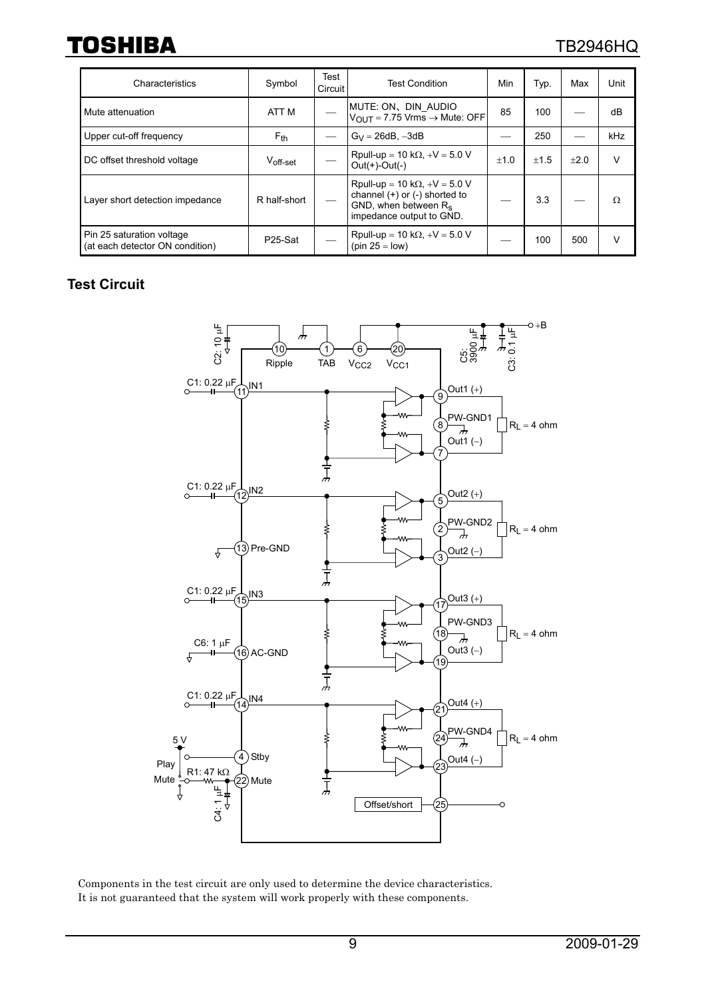### TB2946HQ

| Characteristics                                              | Symbol               | Test<br>Circuit | <b>Test Condition</b>                                                                                                             | Min    | Typ.   | Max  | Unit |
|--------------------------------------------------------------|----------------------|-----------------|-----------------------------------------------------------------------------------------------------------------------------------|--------|--------|------|------|
| Mute attenuation                                             | ATT <sub>M</sub>     |                 | MUTE: ON、DIN AUDIO<br>$V_{\text{OUT}} = 7.75 \text{ Vrms} \rightarrow \text{Mute: OFF}$                                           | 85     | 100    |      | dB   |
| Upper cut-off frequency                                      | $F_{th}$             |                 | $G_V = 26dB$ , $-3dB$                                                                                                             |        | 250    |      | kHz  |
| DC offset threshold voltage                                  | $V_{\text{off-set}}$ |                 | Rpull-up = 10 k $\Omega$ , +V = 5.0 V<br>$Out(+)-Out(-)$                                                                          | $+1.0$ | $+1.5$ | ±2.0 | v    |
| Layer short detection impedance                              | R half-short         |                 | Rpull-up = 10 k $\Omega$ , +V = 5.0 V<br>channel $(+)$ or $(-)$ shorted to<br>GND, when between $R_s$<br>impedance output to GND. |        | 3.3    |      | Ω    |
| Pin 25 saturation voltage<br>(at each detector ON condition) | P25-Sat              |                 | Rpull-up = 10 k $\Omega$ , +V = 5.0 V<br>$(pin 25 = low)$                                                                         |        | 100    | 500  | v    |

#### **Test Circuit**



Components in the test circuit are only used to determine the device characteristics. It is not guaranteed that the system will work properly with these components.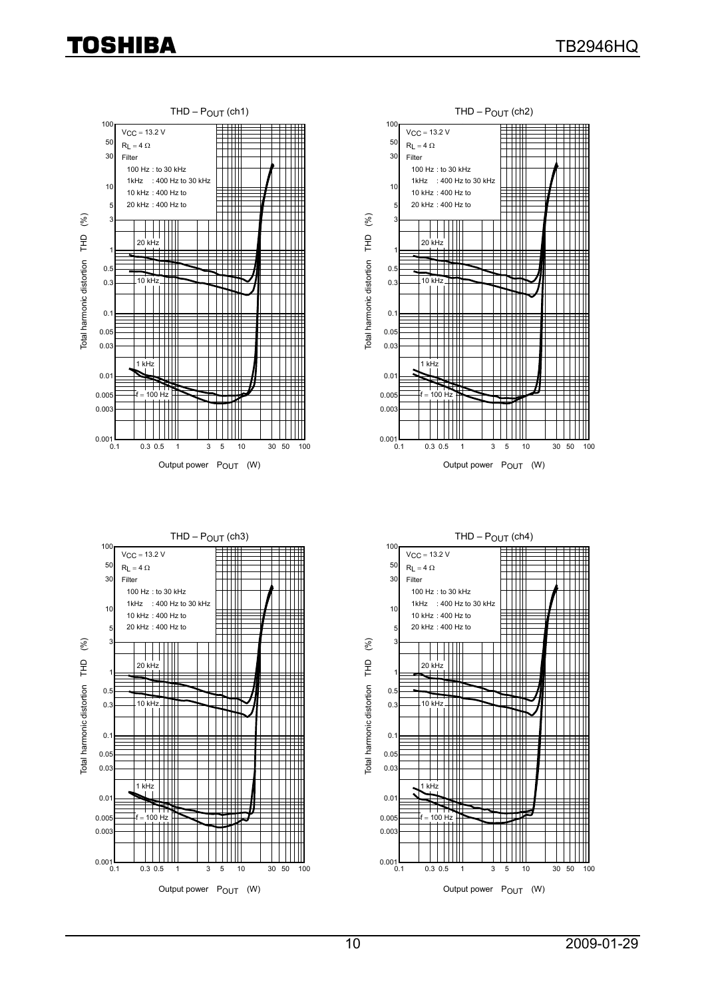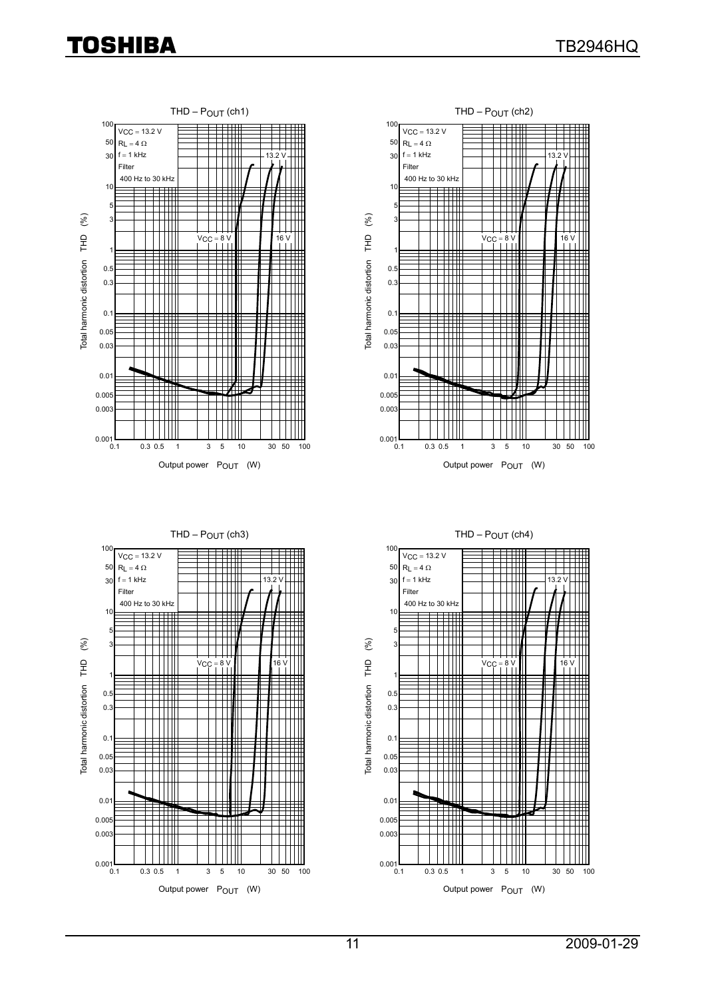



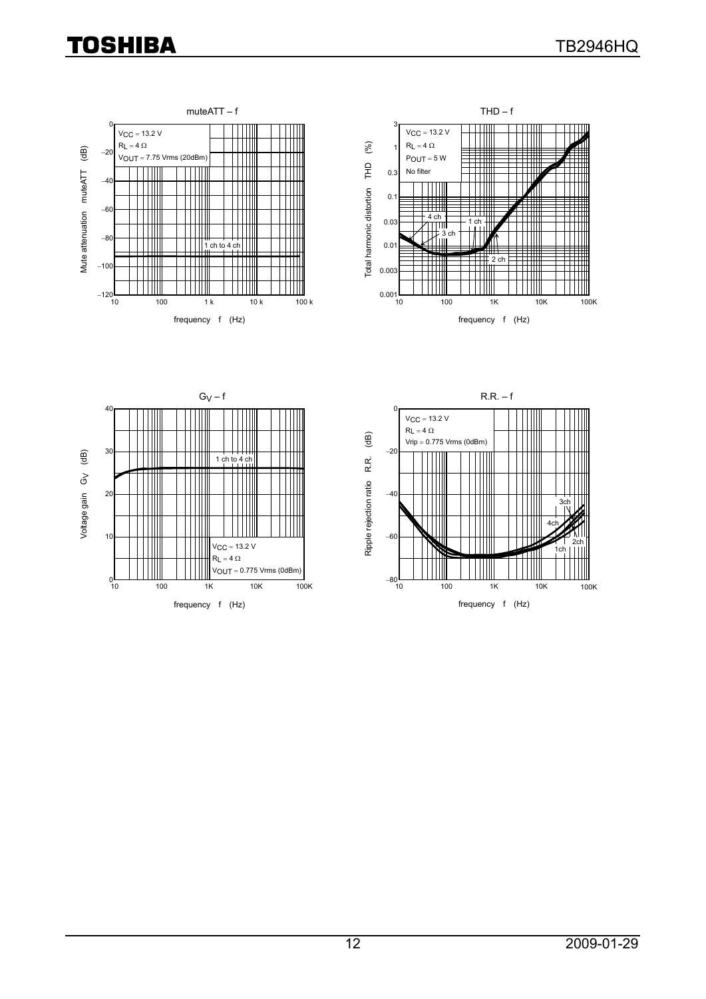





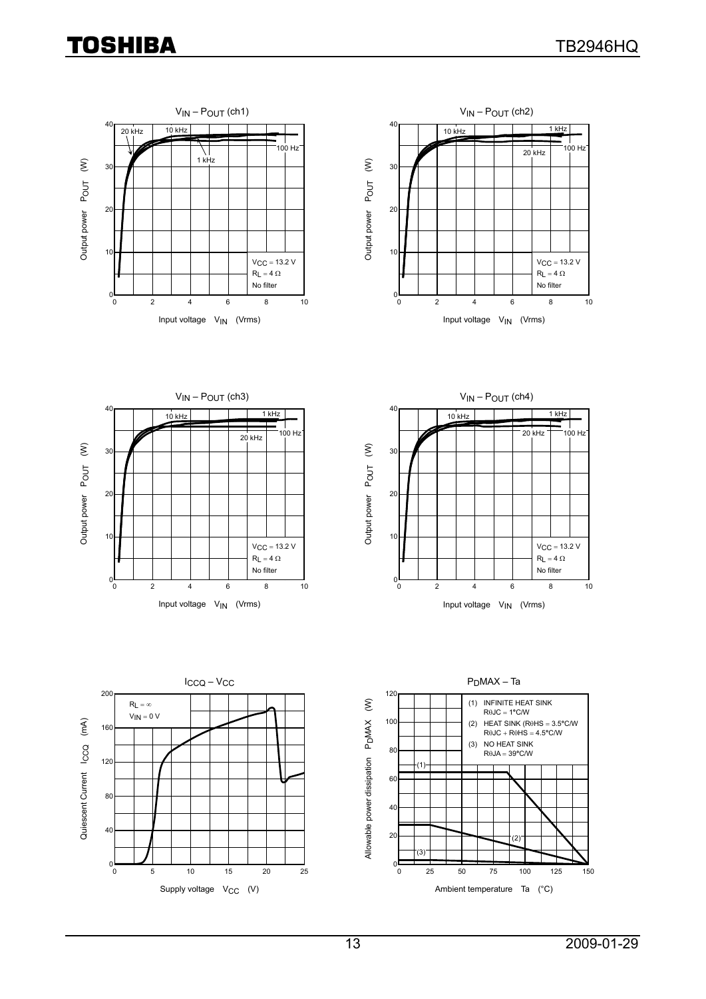









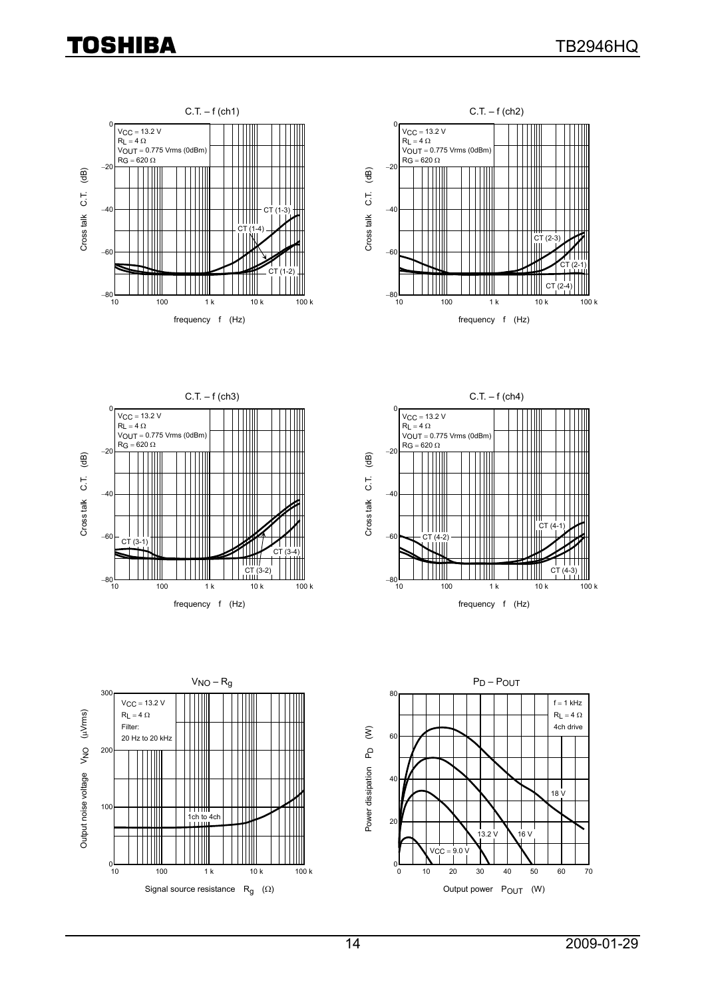









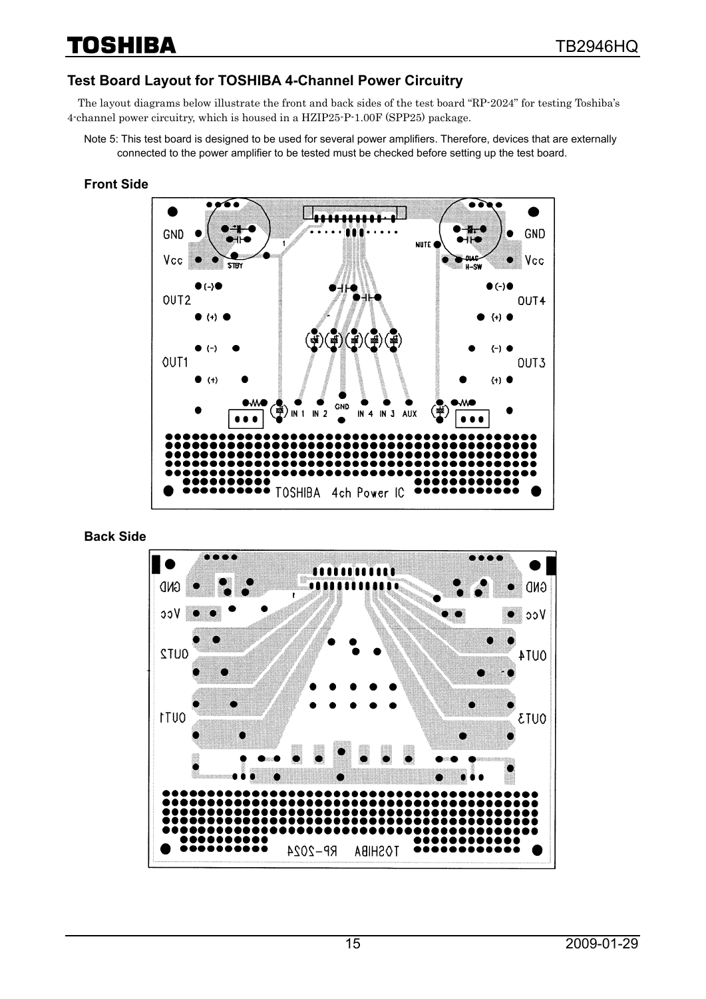#### **Test Board Layout for TOSHIBA 4-Channel Power Circuitry**

The layout diagrams below illustrate the front and back sides of the test board "RP-2024" for testing Toshiba's 4-channel power circuitry, which is housed in a HZIP25-P-1.00F (SPP25) package.

Note 5: This test board is designed to be used for several power amplifiers. Therefore, devices that are externally connected to the power amplifier to be tested must be checked before setting up the test board.

#### **Front Side**



**Back Side** 

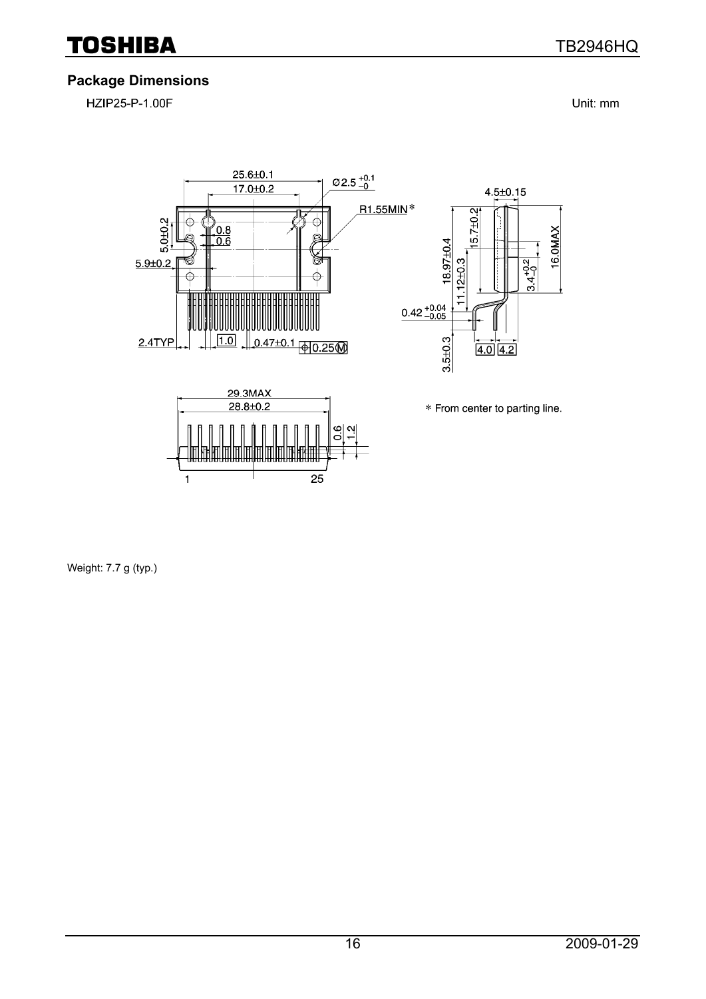### **Package Dimensions**

HZIP25-P-1.00F

Unit: mm



Weight: 7.7 g (typ.)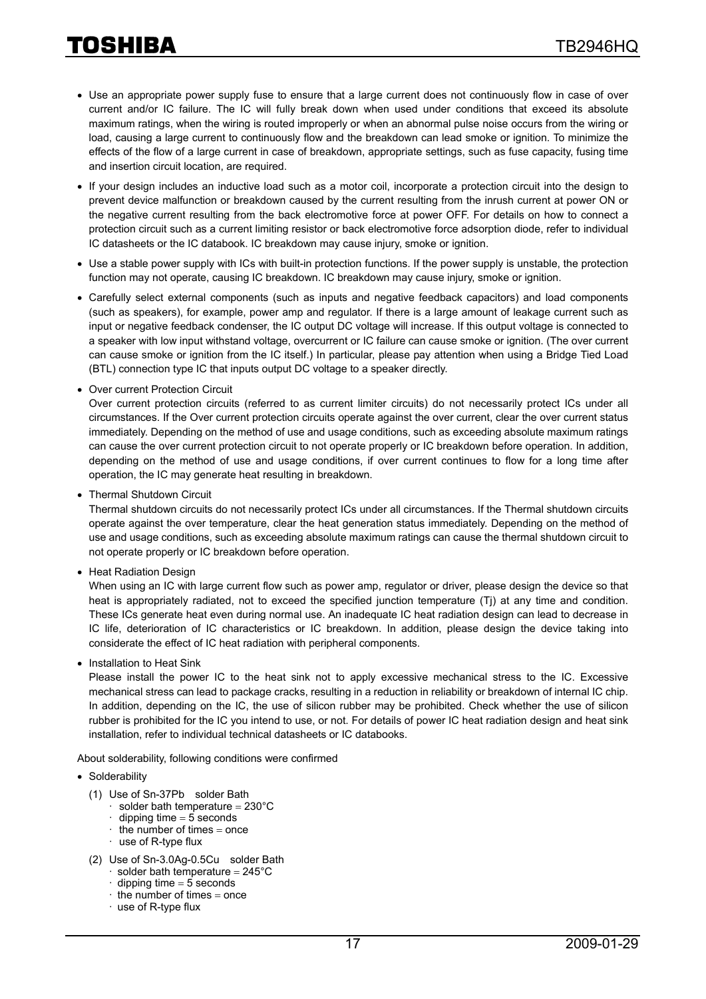- Use an appropriate power supply fuse to ensure that a large current does not continuously flow in case of over current and/or IC failure. The IC will fully break down when used under conditions that exceed its absolute maximum ratings, when the wiring is routed improperly or when an abnormal pulse noise occurs from the wiring or load, causing a large current to continuously flow and the breakdown can lead smoke or ignition. To minimize the effects of the flow of a large current in case of breakdown, appropriate settings, such as fuse capacity, fusing time and insertion circuit location, are required.
- If your design includes an inductive load such as a motor coil, incorporate a protection circuit into the design to prevent device malfunction or breakdown caused by the current resulting from the inrush current at power ON or the negative current resulting from the back electromotive force at power OFF. For details on how to connect a protection circuit such as a current limiting resistor or back electromotive force adsorption diode, refer to individual IC datasheets or the IC databook. IC breakdown may cause injury, smoke or ignition.
- Use a stable power supply with ICs with built-in protection functions. If the power supply is unstable, the protection function may not operate, causing IC breakdown. IC breakdown may cause injury, smoke or ignition.
- Carefully select external components (such as inputs and negative feedback capacitors) and load components (such as speakers), for example, power amp and regulator. If there is a large amount of leakage current such as input or negative feedback condenser, the IC output DC voltage will increase. If this output voltage is connected to a speaker with low input withstand voltage, overcurrent or IC failure can cause smoke or ignition. (The over current can cause smoke or ignition from the IC itself.) In particular, please pay attention when using a Bridge Tied Load (BTL) connection type IC that inputs output DC voltage to a speaker directly.
- Over current Protection Circuit

Over current protection circuits (referred to as current limiter circuits) do not necessarily protect ICs under all circumstances. If the Over current protection circuits operate against the over current, clear the over current status immediately. Depending on the method of use and usage conditions, such as exceeding absolute maximum ratings can cause the over current protection circuit to not operate properly or IC breakdown before operation. In addition, depending on the method of use and usage conditions, if over current continues to flow for a long time after operation, the IC may generate heat resulting in breakdown.

• Thermal Shutdown Circuit

Thermal shutdown circuits do not necessarily protect ICs under all circumstances. If the Thermal shutdown circuits operate against the over temperature, clear the heat generation status immediately. Depending on the method of use and usage conditions, such as exceeding absolute maximum ratings can cause the thermal shutdown circuit to not operate properly or IC breakdown before operation.

• Heat Radiation Design

When using an IC with large current flow such as power amp, regulator or driver, please design the device so that heat is appropriately radiated, not to exceed the specified junction temperature (Tj) at any time and condition. These ICs generate heat even during normal use. An inadequate IC heat radiation design can lead to decrease in IC life, deterioration of IC characteristics or IC breakdown. In addition, please design the device taking into considerate the effect of IC heat radiation with peripheral components.

• Installation to Heat Sink

Please install the power IC to the heat sink not to apply excessive mechanical stress to the IC. Excessive mechanical stress can lead to package cracks, resulting in a reduction in reliability or breakdown of internal IC chip. In addition, depending on the IC, the use of silicon rubber may be prohibited. Check whether the use of silicon rubber is prohibited for the IC you intend to use, or not. For details of power IC heat radiation design and heat sink installation, refer to individual technical datasheets or IC databooks.

About solderability, following conditions were confirmed

- Solderability
	- (1) Use of Sn-37Pb solder Bath
		- solder bath temperature =  $230^{\circ}$ C
		- dipping time  $= 5$  seconds
		- the number of times  $=$  once
		- · use of R-type flux
	- (2) Use of Sn-3.0Ag-0.5Cu solder Bath
		- solder bath temperature =  $245^{\circ}$ C
		- dipping time  $= 5$  seconds
		- $\cdot$  the number of times = once
		- $\cdot$  use of R-type flux